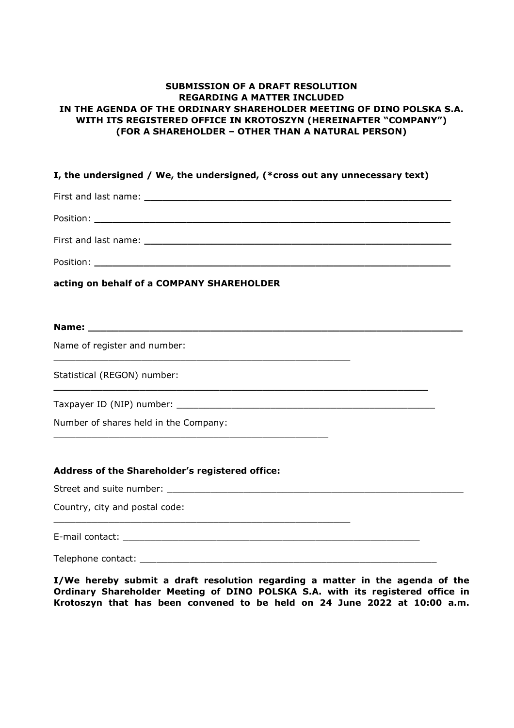## **SUBMISSION OF A DRAFT RESOLUTION REGARDING A MATTER INCLUDED IN THE AGENDA OF THE ORDINARY SHAREHOLDER MEETING OF DINO POLSKA S.A. WITH ITS REGISTERED OFFICE IN KROTOSZYN (HEREINAFTER "COMPANY") (FOR A SHAREHOLDER – OTHER THAN A NATURAL PERSON)**

## **I, the undersigned / We, the undersigned, (\*cross out any unnecessary text)**  First and last name: **\_\_\_\_\_\_\_\_\_\_\_\_\_\_\_\_\_\_\_\_\_\_\_\_\_\_\_\_\_\_\_\_\_\_\_\_\_\_\_\_\_\_\_\_\_\_\_\_\_\_**  Position: **with a set of the set of the set of the set of the set of the set of the set of the set of the set of the set of the set of the set of the set of the set of the set of the set of the set of the set of the set of** First and last name: **with a state of the state of the state of the state of the state of the state of the state of the state of the state of the state of the state of the state of the state of the state of the state of th** Position: **\_\_\_\_\_\_\_\_\_\_\_\_\_\_\_\_\_\_\_\_\_\_\_\_\_\_\_\_\_\_\_\_\_\_\_\_\_\_\_\_\_\_\_\_\_\_\_\_\_\_\_\_\_\_\_\_\_\_ acting on behalf of a COMPANY SHAREHOLDER Name: \_\_\_\_\_\_\_\_\_\_\_\_\_\_\_\_\_\_\_\_\_\_\_\_\_\_\_\_\_\_\_\_\_\_\_\_\_\_\_\_\_\_\_\_\_\_\_\_\_\_\_\_\_\_\_\_\_\_\_\_\_** Name of register and number: \_\_\_\_\_\_\_\_\_\_\_\_\_\_\_\_\_\_\_\_\_\_\_\_\_\_\_\_\_\_\_\_\_\_\_\_\_\_\_\_\_\_\_\_\_\_\_\_\_\_\_\_\_\_ Statistical (REGON) number: **\_\_\_\_\_\_\_\_\_\_\_\_\_\_\_\_\_\_\_\_\_\_\_\_\_\_\_\_\_\_\_\_\_\_\_\_\_\_\_\_\_\_\_\_\_\_\_\_\_\_\_\_\_\_\_\_\_\_\_\_\_** Taxpayer ID (NIP) number: Number of shares held in the Company: \_\_\_\_\_\_\_\_\_\_\_\_\_\_\_\_\_\_\_\_\_\_\_\_\_\_\_\_\_\_\_\_\_\_\_\_\_\_\_\_\_\_\_\_\_\_\_\_\_\_ **Address of the Shareholder's registered office:**  Street and suite number:  $\Box$ Country, city and postal code: \_\_\_\_\_\_\_\_\_\_\_\_\_\_\_\_\_\_\_\_\_\_\_\_\_\_\_\_\_\_\_\_\_\_\_\_\_\_\_\_\_\_\_\_\_\_\_\_\_\_\_\_\_\_

E-mail contact:  $\Box$ 

Telephone contact:

**I/We hereby submit a draft resolution regarding a matter in the agenda of the Ordinary Shareholder Meeting of DINO POLSKA S.A. with its registered office in Krotoszyn that has been convened to be held on 24 June 2022 at 10:00 a.m.**